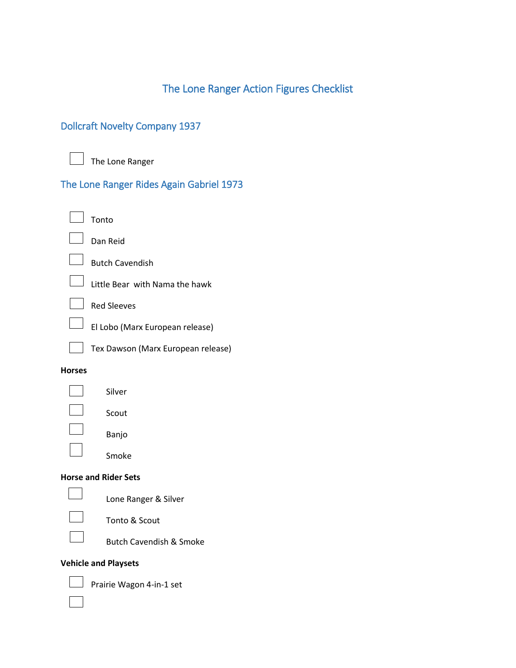# The Lone Ranger Action Figures Checklist

# Dollcraft Novelty Company 1937

The Lone Ranger

## The Lone Ranger Rides Again Gabriel 1973

| $\Box$ Tonto                          |
|---------------------------------------|
| $\Box$ Dan Reid                       |
| $\Box$ Butch Cavendish                |
| Little Bear with Nama the hawk        |
| $\Box$ Red Sleeves                    |
| $\Box$ FLLobo (Marx European release) |

 $\Box$  El Lobo (Marx European release)



Tex Dawson (Marx European release)

#### **Horses**

 $\blacksquare$ Silver Banjo

Scout

Smoke

### **Horse and Rider Sets**



Lone Ranger & Silver

Tonto & Scout

Butch Cavendish & Smoke

### **Vehicle and Playsets**



Prairie Wagon 4-in-1 set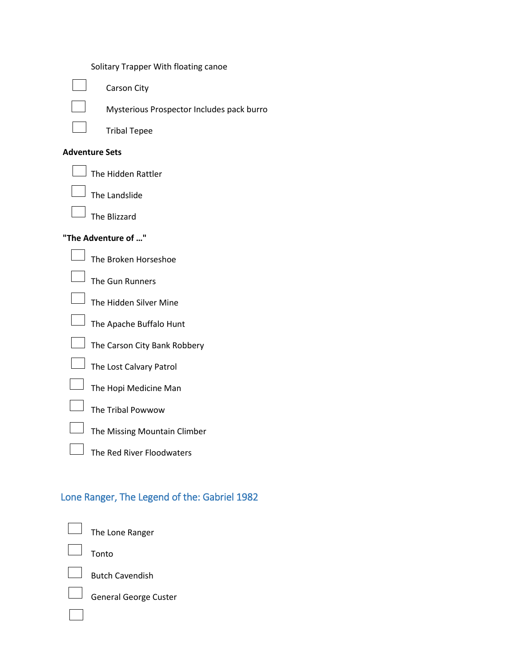|  | Solitary Trapper With floating canoe |  |  |  |
|--|--------------------------------------|--|--|--|
|--|--------------------------------------|--|--|--|



Carson City

Mysterious Prospector Includes pack burro

Tribal Tepee

#### **Adventure Sets**

The Hidden Rattler

|  | The Landslide |
|--|---------------|
|  |               |

The Blizzard

#### **"The Adventure of …"**



The Broken Horseshoe

The Gun Runners

The Hidden Silver Mine

The Apache Buffalo Hunt

The Carson City Bank Robbery



The Lost Calvary Patrol



The Tribal Powwow



The Red River Floodwaters

# Lone Ranger, The Legend of the: Gabriel 1982

The Lone Ranger

Tonto



Butch Cavendish



General George Custer